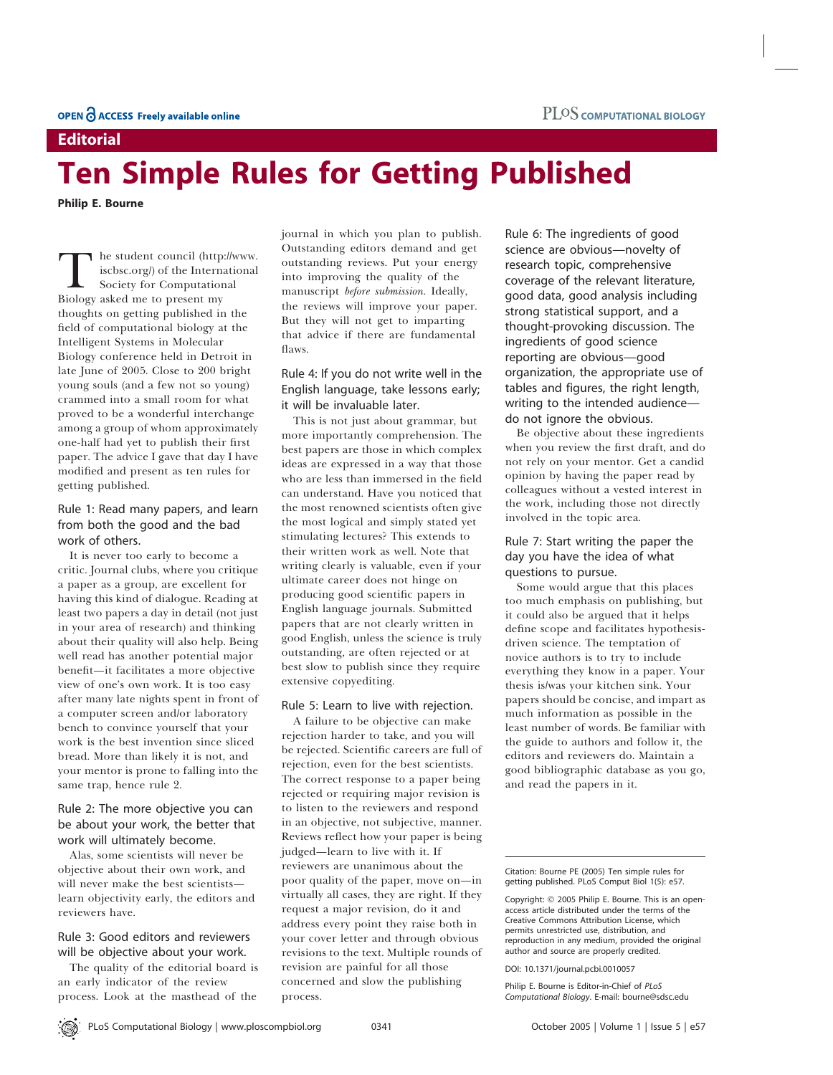## **Editorial**

# Ten Simple Rules for Getting Published

Philip E. Bourne

The student council (http://www. iscbsc.org/) of the International Society for Computational Biology asked me to present my thoughts on getting published in the field of computational biology at the Intelligent Systems in Molecular Biology conference held in Detroit in late June of 2005. Close to 200 bright young souls (and a few not so young) crammed into a small room for what proved to be a wonderful interchange among a group of whom approximately one-half had yet to publish their first paper. The advice I gave that day I have modified and present as ten rules for getting published.

## Rule 1: Read many papers, and learn from both the good and the bad work of others.

It is never too early to become a critic. Journal clubs, where you critique a paper as a group, are excellent for having this kind of dialogue. Reading at least two papers a day in detail (not just in your area of research) and thinking about their quality will also help. Being well read has another potential major benefit—it facilitates a more objective view of one's own work. It is too easy after many late nights spent in front of a computer screen and/or laboratory bench to convince yourself that your work is the best invention since sliced bread. More than likely it is not, and your mentor is prone to falling into the same trap, hence rule 2.

## Rule 2: The more objective you can be about your work, the better that work will ultimately become.

Alas, some scientists will never be objective about their own work, and will never make the best scientists learn objectivity early, the editors and reviewers have.

## Rule 3: Good editors and reviewers will be objective about your work.

The quality of the editorial board is an early indicator of the review process. Look at the masthead of the journal in which you plan to publish. Outstanding editors demand and get outstanding reviews. Put your energy into improving the quality of the manuscript before submission. Ideally, the reviews will improve your paper. But they will not get to imparting that advice if there are fundamental flaws.

## Rule 4: If you do not write well in the English language, take lessons early; it will be invaluable later.

This is not just about grammar, but more importantly comprehension. The best papers are those in which complex ideas are expressed in a way that those who are less than immersed in the field can understand. Have you noticed that the most renowned scientists often give the most logical and simply stated yet stimulating lectures? This extends to their written work as well. Note that writing clearly is valuable, even if your ultimate career does not hinge on producing good scientific papers in English language journals. Submitted papers that are not clearly written in good English, unless the science is truly outstanding, are often rejected or at best slow to publish since they require extensive copyediting.

#### Rule 5: Learn to live with rejection.

A failure to be objective can make rejection harder to take, and you will be rejected. Scientific careers are full of rejection, even for the best scientists. The correct response to a paper being rejected or requiring major revision is to listen to the reviewers and respond in an objective, not subjective, manner. Reviews reflect how your paper is being judged—learn to live with it. If reviewers are unanimous about the poor quality of the paper, move on—in virtually all cases, they are right. If they request a major revision, do it and address every point they raise both in your cover letter and through obvious revisions to the text. Multiple rounds of revision are painful for all those concerned and slow the publishing process.

Rule 6: The ingredients of good science are obvious—novelty of research topic, comprehensive coverage of the relevant literature, good data, good analysis including strong statistical support, and a thought-provoking discussion. The ingredients of good science reporting are obvious—good organization, the appropriate use of tables and figures, the right length, writing to the intended audience do not ignore the obvious.

Be objective about these ingredients when you review the first draft, and do not rely on your mentor. Get a candid opinion by having the paper read by colleagues without a vested interest in the work, including those not directly involved in the topic area.

## Rule 7: Start writing the paper the day you have the idea of what questions to pursue.

Some would argue that this places too much emphasis on publishing, but it could also be argued that it helps define scope and facilitates hypothesisdriven science. The temptation of novice authors is to try to include everything they know in a paper. Your thesis is/was your kitchen sink. Your papers should be concise, and impart as much information as possible in the least number of words. Be familiar with the guide to authors and follow it, the editors and reviewers do. Maintain a good bibliographic database as you go, and read the papers in it.

Copyright: © 2005 Philip E. Bourne. This is an openaccess article distributed under the terms of the Creative Commons Attribution License, which permits unrestricted use, distribution, and reproduction in any medium, provided the original author and source are properly credited.

DOI: 10.1371/journal.pcbi.0010057

Philip E. Bourne is Editor-in-Chief of PLoS Computational Biology. E-mail: bourne@sdsc.edu

Citation: Bourne PE (2005) Ten simple rules for getting published. PLoS Comput Biol 1(5): e57.